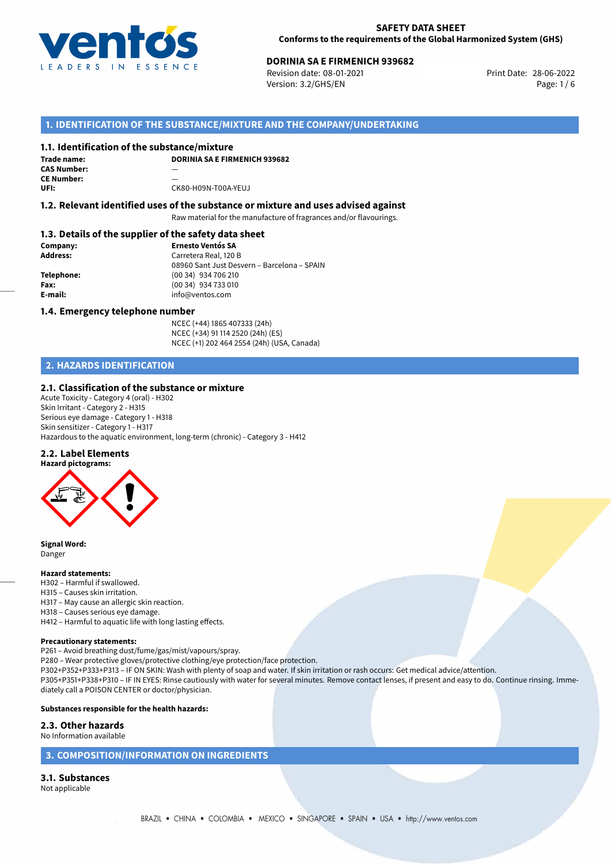

# **DORINIA SA E FIRMENICH 939682**<br> **28-06-2022 Revision date: 08-01-2021**<br> **28-06-2022**

Revision date: 08-01-2021 Version: 3.2/GHS/EN Page: 1 / 6

# **1. IDENTIFICATION OF THE SUBSTANCE/MIXTURE AND THE COMPANY/UNDERTAKING**

#### **1.1. Identification of the substance/mixture**

**Trade name: CAS Number:** — **CE Number: UFI:** CK80-H09N-T00A-YEUJ

**DORINIA SA E FIRMENICH 939682**

# **1.2. Relevant identified uses of the substance or mixture and uses advised against**

Raw material for the manufacture of fragrances and/or flavourings.

#### **1.3. Details of the supplier of the safety data sheet**

| Company:        | <b>Ernesto Ventós SA</b>                    |
|-----------------|---------------------------------------------|
| <b>Address:</b> | Carretera Real, 120 B                       |
|                 | 08960 Sant Just Desvern - Barcelona - SPAIN |
| Telephone:      | (00 34) 934 706 210                         |
| Fax:            | (00 34) 934 733 010                         |
| E-mail:         | info@ventos.com                             |
|                 |                                             |

#### **1.4. Emergency telephone number**

NCEC (+44) 1865 407333 (24h) NCEC (+34) 91 114 2520 (24h) (ES) NCEC (+1) 202 464 2554 (24h) (USA, Canada)

# **2. HAZARDS IDENTIFICATION**

#### **2.1. Classification of the substance or mixture**

Acute Toxicity - Category 4 (oral) - H302 Skin Irritant - Category 2 - H315 Serious eye damage - Category 1 - H318 Skin sensitizer - Category 1 - H317 Hazardous to the aquatic environment, long-term (chronic) - Category 3 - H412

#### **2.2. Label Elements**



**Signal Word:** Danger

#### **Hazard statements:**

H302 – Harmful if swallowed.

- H315 Causes skin irritation.
- H317 May cause an allergic skin reaction.
- H318 Causes serious eye damage.
- H412 Harmful to aquatic life with long lasting effects.

#### **Precautionary statements:**

P261 – Avoid breathing dust/fume/gas/mist/vapours/spray.

P280 – Wear protective gloves/protective clothing/eye protection/face protection.

P302+P352+P333+P313 – IF ON SKIN: Wash with plenty of soap and water. If skin irritation or rash occurs: Get medical advice/attention.

P305+P351+P338+P310 – IF IN EYES: Rinse cautiously with water for several minutes. Remove contact lenses, if present and easy to do. Continue rinsing. Immediately call a POISON CENTER or doctor/physician.

#### **Substances responsible for the health hazards:**

#### **2.3. Other hazards**

No Information available

#### **3. COMPOSITION/INFORMATION ON INGREDIENTS**

**3.1. Substances** Not applicable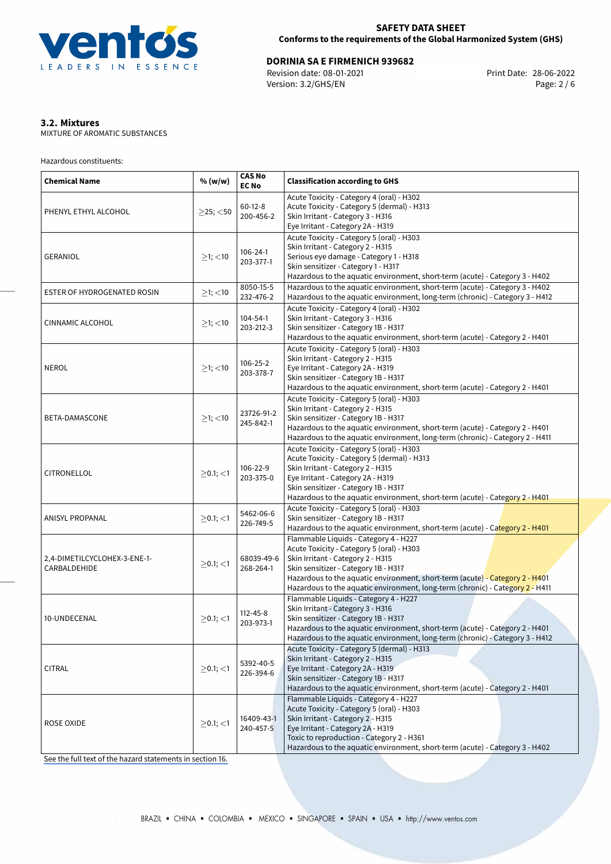

# **DORINIA SA E FIRMENICH 939682**<br>
Revision date: 08-01-2021<br>
Print Date: 28-06-2022

Revision date: 08-01-2021 Version: 3.2/GHS/EN Page: 2 / 6

# **3.2. Mixtures**

MIXTURE OF AROMATIC SUBSTANCES

Hazardous constituents:

| <b>Chemical Name</b>                         | % (w/w)        | <b>CAS No</b><br><b>EC No</b> | <b>Classification according to GHS</b>                                                                                                                                                                                                                                                                                           |  |  |  |  |
|----------------------------------------------|----------------|-------------------------------|----------------------------------------------------------------------------------------------------------------------------------------------------------------------------------------------------------------------------------------------------------------------------------------------------------------------------------|--|--|--|--|
| PHENYL ETHYL ALCOHOL                         | $>25$ ; <50    | $60-12-8$<br>200-456-2        | Acute Toxicity - Category 4 (oral) - H302<br>Acute Toxicity - Category 5 (dermal) - H313<br>Skin Irritant - Category 3 - H316<br>Eye Irritant - Category 2A - H319                                                                                                                                                               |  |  |  |  |
| <b>GERANIOL</b>                              | $\geq$ 1; <10  | 106-24-1<br>203-377-1         | Acute Toxicity - Category 5 (oral) - H303<br>Skin Irritant - Category 2 - H315<br>Serious eye damage - Category 1 - H318<br>Skin sensitizer - Category 1 - H317<br>Hazardous to the aquatic environment, short-term (acute) - Category 3 - H402                                                                                  |  |  |  |  |
| ESTER OF HYDROGENATED ROSIN                  | $≥1;$ < 10     | 8050-15-5<br>232-476-2        | Hazardous to the aquatic environment, short-term (acute) - Category 3 - H402<br>Hazardous to the aquatic environment, long-term (chronic) - Category 3 - H412                                                                                                                                                                    |  |  |  |  |
| <b>CINNAMIC ALCOHOL</b>                      | $\geq$ 1; <10  | 104-54-1<br>203-212-3         | Acute Toxicity - Category 4 (oral) - H302<br>Skin Irritant - Category 3 - H316<br>Skin sensitizer - Category 1B - H317<br>Hazardous to the aquatic environment, short-term (acute) - Category 2 - H401                                                                                                                           |  |  |  |  |
| <b>NEROL</b>                                 | $≥1;$ < 10     | 106-25-2<br>203-378-7         | Acute Toxicity - Category 5 (oral) - H303<br>Skin Irritant - Category 2 - H315<br>Eye Irritant - Category 2A - H319<br>Skin sensitizer - Category 1B - H317<br>Hazardous to the aquatic environment, short-term (acute) - Category 2 - H401                                                                                      |  |  |  |  |
| BETA-DAMASCONE                               | $≥1;$ < 10     | 23726-91-2<br>245-842-1       | Acute Toxicity - Category 5 (oral) - H303<br>Skin Irritant - Category 2 - H315<br>Skin sensitizer - Category 1B - H317<br>Hazardous to the aquatic environment, short-term (acute) - Category 2 - H401<br>Hazardous to the aquatic environment, long-term (chronic) - Category 2 - H411                                          |  |  |  |  |
| CITRONELLOL                                  | $\geq$ 0.1; <1 | 106-22-9<br>203-375-0         | Acute Toxicity - Category 5 (oral) - H303<br>Acute Toxicity - Category 5 (dermal) - H313<br>Skin Irritant - Category 2 - H315<br>Eye Irritant - Category 2A - H319<br>Skin sensitizer - Category 1B - H317<br>Hazardous to the aquatic environment, short-term (acute) - Category 2 - H401                                       |  |  |  |  |
| <b>ANISYL PROPANAL</b>                       | $>0.1$ ; $<$ 1 | 5462-06-6<br>226-749-5        | Acute Toxicity - Category 5 (oral) - H303<br>Skin sensitizer - Category 1B - H317<br>Hazardous to the aquatic environment, short-term (acute) - Category 2 - H401                                                                                                                                                                |  |  |  |  |
| 2,4-DIMETILCYCLOHEX-3-ENE-1-<br>CARBALDEHIDE | $>0.1$ ; $<$ 1 | 68039-49-6<br>268-264-1       | Flammable Liquids - Category 4 - H227<br>Acute Toxicity - Category 5 (oral) - H303<br>Skin Irritant - Category 2 - H315<br>Skin sensitizer - Category 1B - H317<br>Hazardous to the aquatic environment, short-term (acute) - Category 2 - H401<br>Hazardous to the aquatic environment, long-term (chronic) - Category 2 - H411 |  |  |  |  |
| 10-UNDECENAL                                 | $>0.1$ ; <1    | $112 - 45 - 8$<br>203-973-1   | Flammable Liquids - Category 4 - H227<br>Skin Irritant - Category 3 - H316<br>Skin sensitizer - Category 1B - H317<br>Hazardous to the aquatic environment, short-term (acute) - Category 2 - H401<br>Hazardous to the aquatic environment, long-term (chronic) - Category 3 - H412                                              |  |  |  |  |
| <b>CITRAL</b>                                | $\geq$ 0.1; <1 | 5392-40-5<br>226-394-6        | Acute Toxicity - Category 5 (dermal) - H313<br>Skin Irritant - Category 2 - H315<br>Eye Irritant - Category 2A - H319<br>Skin sensitizer - Category 1B - H317<br>Hazardous to the aquatic environment, short-term (acute) - Category 2 - H401                                                                                    |  |  |  |  |
| <b>ROSE OXIDE</b>                            | $\geq$ 0.1; <1 | 16409-43-1<br>240-457-5       | Flammable Liquids - Category 4 - H227<br>Acute Toxicity - Category 5 (oral) - H303<br>Skin Irritant - Category 2 - H315<br>Eye Irritant - Category 2A - H319<br>Toxic to reproduction - Category 2 - H361<br>Hazardous to the aquatic environment, short-term (acute) - Category 3 - H402                                        |  |  |  |  |

[See the full text of the hazard statements in section 16.](#page-5-0)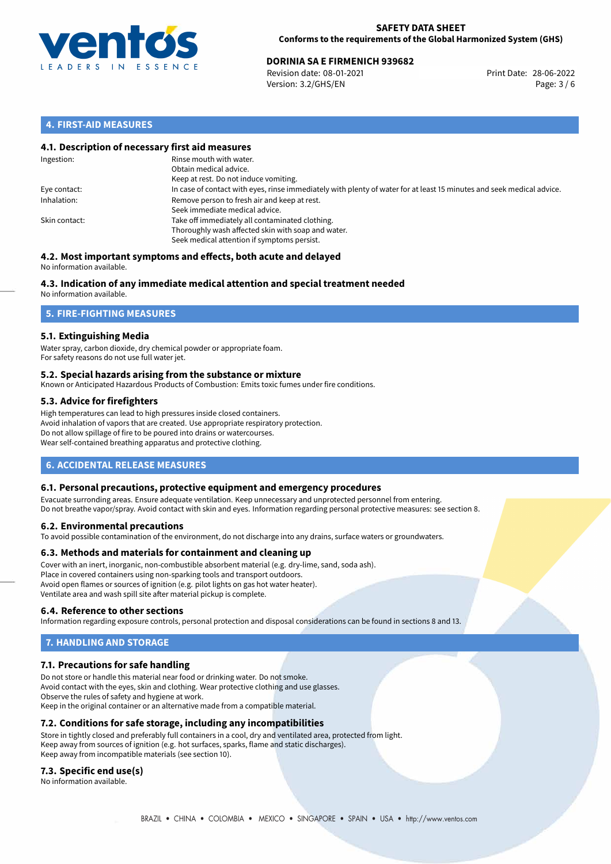

# **DORINIA SA E FIRMENICH 939682**<br> **28-06-2022 Revision date: 08-01-2021**<br> **28-06-2022**

Revision date: 08-01-2021 Version: 3.2/GHS/EN Page: 3 / 6

# **4. FIRST-AID MEASURES**

#### **4.1. Description of necessary first aid measures**

| Ingestion:    | Rinse mouth with water.<br>Obtain medical advice.<br>Keep at rest. Do not induce vomiting.                                                           |
|---------------|------------------------------------------------------------------------------------------------------------------------------------------------------|
| Eye contact:  | In case of contact with eyes, rinse immediately with plenty of water for at least 15 minutes and seek medical advice.                                |
| Inhalation:   | Remove person to fresh air and keep at rest.<br>Seek immediate medical advice.                                                                       |
| Skin contact: | Take off immediately all contaminated clothing.<br>Thoroughly wash affected skin with soap and water.<br>Seek medical attention if symptoms persist. |

#### **4.2. Most important symptoms and effects, both acute and delayed** No information available.

# **4.3. Indication of any immediate medical attention and special treatment needed**

No information available.

# **5. FIRE-FIGHTING MEASURES**

### **5.1. Extinguishing Media**

Water spray, carbon dioxide, dry chemical powder or appropriate foam. For safety reasons do not use full water jet.

#### **5.2. Special hazards arising from the substance or mixture**

Known or Anticipated Hazardous Products of Combustion: Emits toxic fumes under fire conditions.

### **5.3. Advice for firefighters**

High temperatures can lead to high pressures inside closed containers. Avoid inhalation of vapors that are created. Use appropriate respiratory protection. Do not allow spillage of fire to be poured into drains or watercourses. Wear self-contained breathing apparatus and protective clothing.

# **6. ACCIDENTAL RELEASE MEASURES**

#### **6.1. Personal precautions, protective equipment and emergency procedures**

Evacuate surronding areas. Ensure adequate ventilation. Keep unnecessary and unprotected personnel from entering. Do not breathe vapor/spray. Avoid contact with skin and eyes. Information regarding personal protective measures: see section 8.

#### **6.2. Environmental precautions**

To avoid possible contamination of the environment, do not discharge into any drains, surface waters or groundwaters.

#### **6.3. Methods and materials for containment and cleaning up**

Cover with an inert, inorganic, non-combustible absorbent material (e.g. dry-lime, sand, soda ash). Place in covered containers using non-sparking tools and transport outdoors. Avoid open flames or sources of ignition (e.g. pilot lights on gas hot water heater). Ventilate area and wash spill site after material pickup is complete.

#### **6.4. Reference to other sections**

Information regarding exposure controls, personal protection and disposal considerations can be found in sections 8 and 13.

# **7. HANDLING AND STORAGE**

#### **7.1. Precautions for safe handling**

Do not store or handle this material near food or drinking water. Do not smoke. Avoid contact with the eyes, skin and clothing. Wear protective clothing and use glasses. Observe the rules of safety and hygiene at work. Keep in the original container or an alternative made from a compatible material.

#### **7.2. Conditions for safe storage, including any incompatibilities**

Store in tightly closed and preferably full containers in a cool, dry and ventilated area, protected from light. Keep away from sources of ignition (e.g. hot surfaces, sparks, flame and static discharges). Keep away from incompatible materials (see section 10).

#### **7.3. Specific end use(s)**

No information available.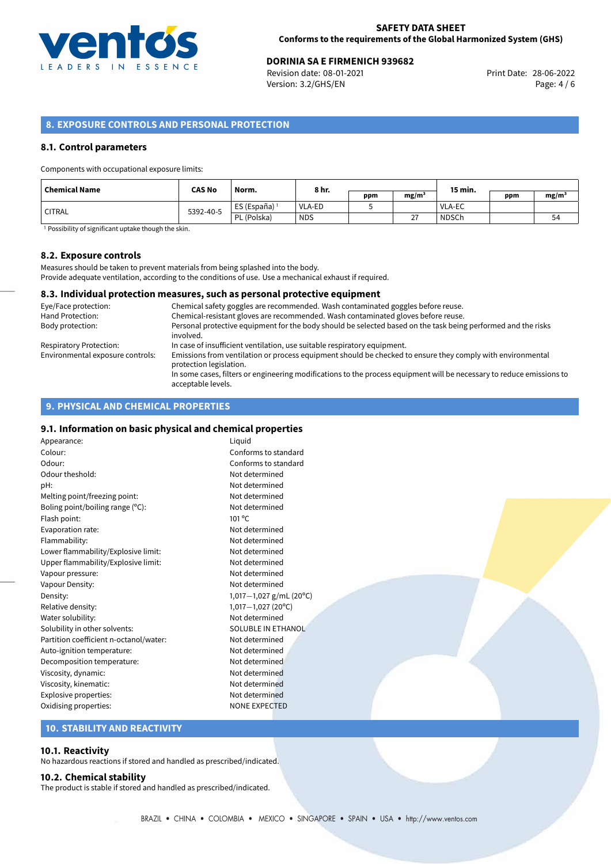

# **DORINIA SA E FIRMENICH 939682**<br>
Revision date: 08-01-2021<br>
Print Date: 28-06-2022

Revision date: 08-01-2021 Version: 3.2/GHS/EN Page: 4 / 6

# **8. EXPOSURE CONTROLS AND PERSONAL PROTECTION**

#### **8.1. Control parameters**

Components with occupational exposure limits:

| Chemical Name | <b>CAS No</b> | Norm.                    | 8 hr.      |     |                   | 15 min.       |     |                   |
|---------------|---------------|--------------------------|------------|-----|-------------------|---------------|-----|-------------------|
|               |               |                          |            | ppm | mg/m <sup>3</sup> |               | ppm | mg/m <sup>3</sup> |
| ' CITRAL      | 5392-40-5     | ES (España) <sup>1</sup> | VLA-ED     |     |                   | <b>VLA-EC</b> |     |                   |
|               |               | PL (Polska)              | <b>NDS</b> |     | 77<br>∠           | <b>NDSCh</b>  |     | 54                |

<sup>1</sup> Possibility of significant uptake though the skin.

#### **8.2. Exposure controls**

Measures should be taken to prevent materials from being splashed into the body. Provide adequate ventilation, according to the conditions of use. Use a mechanical exhaust if required.

#### **8.3. Individual protection measures, such as personal protective equipment**

| Eye/Face protection:             | Chemical safety goggles are recommended. Wash contaminated goggles before reuse.                                                            |
|----------------------------------|---------------------------------------------------------------------------------------------------------------------------------------------|
| Hand Protection:                 | Chemical-resistant gloves are recommended. Wash contaminated gloves before reuse.                                                           |
| Body protection:                 | Personal protective equipment for the body should be selected based on the task being performed and the risks<br>involved.                  |
| Respiratory Protection:          | In case of insufficient ventilation, use suitable respiratory equipment.                                                                    |
| Environmental exposure controls: | Emissions from ventilation or process equipment should be checked to ensure they comply with environmental<br>protection legislation.       |
|                                  | In some cases, filters or engineering modifications to the process equipment will be necessary to reduce emissions to<br>acceptable levels. |

# **9. PHYSICAL AND CHEMICAL PROPERTIES**

#### **9.1. Information on basic physical and chemical properties**

| Appearance:                            | Liquid          |
|----------------------------------------|-----------------|
| Colour:                                | Confo           |
| Odour:                                 | Confo           |
| Odour theshold:                        | Not de          |
| pH:                                    | Not de          |
| Melting point/freezing point:          | Not de          |
| Boling point/boiling range (°C):       | Not de          |
| Flash point:                           | $101^{\circ}$ C |
| Evaporation rate:                      | Not de          |
| Flammability:                          | Not de          |
| Lower flammability/Explosive limit:    | Not de          |
| Upper flammability/Explosive limit:    | Not de          |
| Vapour pressure:                       | Not de          |
| Vapour Density:                        | Not de          |
| Density:                               | $1,017-$        |
| Relative density:                      | $1,017-$        |
| Water solubility:                      | Not de          |
| Solubility in other solvents:          | SOLUE           |
| Partition coefficient n-octanol/water: | Not de          |
| Auto-ignition temperature:             | Not de          |
| Decomposition temperature:             | Not de          |
| Viscosity, dynamic:                    | Not de          |
| Viscosity, kinematic:                  | Not de          |
| Explosive properties:                  | Not de          |
| Oxidising properties:                  | <b>NONE</b>     |

forms to standard forms to standard determined determined determined determined determined determined determined determined determined determined Density: 1,017*−*1,027 g/mL (20ºC) Relative density: 1,017*−*1,027 (20ºC) determined UBLE IN ETHANOL determined determined determined Netermined determined determined **IE EXPECTED** 

# **10. STABILITY AND REACTIVITY**

#### **10.1. Reactivity**

No hazardous reactions if stored and handled as prescribed/indicated.

#### **10.2. Chemical stability**

The product is stable if stored and handled as prescribed/indicated.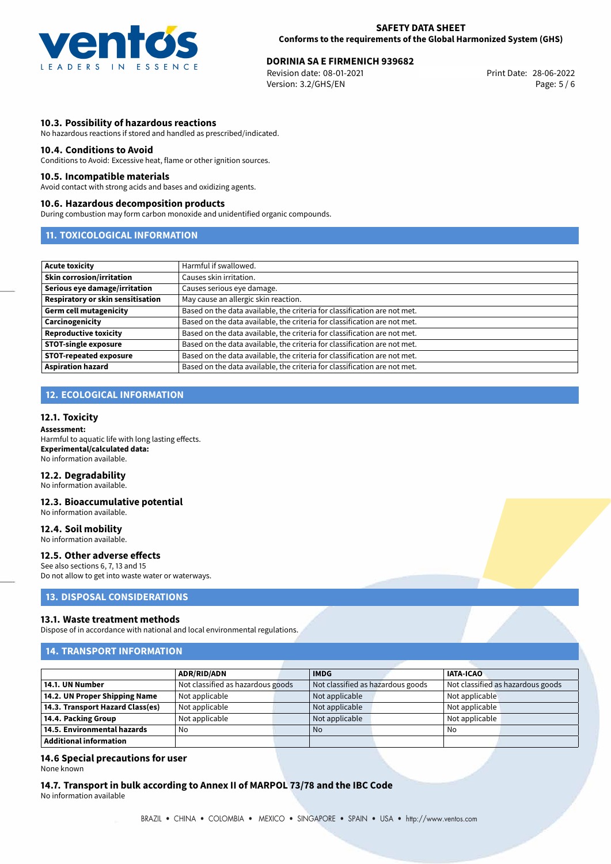

# 28-06-2022 **DORINIA SA E FIRMENICH 939682**

Revision date: 08-01-2021 Version: 3.2/GHS/EN Page: 5 / 6

#### **10.3. Possibility of hazardous reactions**

No hazardous reactions if stored and handled as prescribed/indicated.

#### **10.4. Conditions to Avoid**

Conditions to Avoid: Excessive heat, flame or other ignition sources.

#### **10.5. Incompatible materials**

Avoid contact with strong acids and bases and oxidizing agents.

#### **10.6. Hazardous decomposition products**

During combustion may form carbon monoxide and unidentified organic compounds.

#### **11. TOXICOLOGICAL INFORMATION**

| Acute toxicity                    | Harmful if swallowed.                                                     |
|-----------------------------------|---------------------------------------------------------------------------|
| <b>Skin corrosion/irritation</b>  | Causes skin irritation.                                                   |
| Serious eye damage/irritation     | Causes serious eye damage.                                                |
| Respiratory or skin sensitisation | May cause an allergic skin reaction.                                      |
| Germ cell mutagenicity            | Based on the data available, the criteria for classification are not met. |
| <b>Carcinogenicity</b>            | Based on the data available, the criteria for classification are not met. |
| Reproductive toxicity             | Based on the data available, the criteria for classification are not met. |
| <b>STOT-single exposure</b>       | Based on the data available, the criteria for classification are not met. |
| <b>STOT-repeated exposure</b>     | Based on the data available, the criteria for classification are not met. |
| Aspiration hazard                 | Based on the data available, the criteria for classification are not met. |

# **12. ECOLOGICAL INFORMATION**

#### **12.1. Toxicity**

**Assessment:** Harmful to aquatic life with long lasting effects. **Experimental/calculated data:** No information available.

# **12.2. Degradability**

No information available.

#### **12.3. Bioaccumulative potential** No information available.

**12.4. Soil mobility** No information available.

#### **12.5. Other adverse effects**

See also sections 6, 7, 13 and 15 Do not allow to get into waste water or waterways.

#### **13. DISPOSAL CONSIDERATIONS**

#### **13.1. Waste treatment methods**

Dispose of in accordance with national and local environmental regulations.

#### **14. TRANSPORT INFORMATION**

|                                  | <b>ADR/RID/ADN</b>                | <b>IMDG</b>                       | <b>IATA-ICAO</b> |                                   |
|----------------------------------|-----------------------------------|-----------------------------------|------------------|-----------------------------------|
| 14.1. UN Number                  | Not classified as hazardous goods | Not classified as hazardous goods |                  | Not classified as hazardous goods |
| 14.2. UN Proper Shipping Name    | Not applicable                    | Not applicable                    | Not applicable   |                                   |
| 14.3. Transport Hazard Class(es) | Not applicable                    | Not applicable                    | Not applicable   |                                   |
| 14.4. Packing Group              | Not applicable                    | Not applicable                    | Not applicable   |                                   |
| 14.5. Environmental hazards      | No                                | No                                | No               |                                   |
| Additional information           |                                   |                                   |                  |                                   |

# **14.6 Special precautions for user**

None known

**14.7. Transport in bulk according to Annex II of MARPOL 73/78 and the IBC Code** No information available